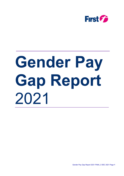

# **Gender Pay Gap Report** 2021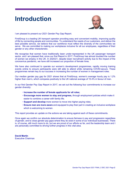# Introduction



I am pleased to present our 2021 Gender Pay Gap Report.

FirstGroup is a leading UK transport operator providing easy and convenient mobility, improving quality of life by connecting people and communities. To understand the needs of our customers, and deliver the best possible service, we believe that our workforce must reflect the diversity of the communities we serve. We are committed to making our workplaces inclusive for all our employees, regardless of their gender or any other characteristic.

We recognise that women have traditionally been under-represented in the UK passenger transport sector, and I am pleased that, since our first Report in 2017, FirstGroup has almost doubled the number of women we employ in the UK. In 2020/21, despite lower recruitment activity due to the impact of the coronavirus pandemic, we have still increased our proportion of female hires.

We have also continued to operate our women's development programmes, rapidly moving training events online to ensure participants were still able to attend while remaining COVID-secure. These programmes remain key to our success in increasing the number of women in management roles.

Our median gender pay gap for 2021 shows that at FirstGroup, women's average hourly pay is 1.2% higher than men's, which compares positively to the UK national average of 15.4% in favour of men.

In our first Gender Pay Gap Report in 2017, we set out the following four commitments to increase our gender diversity:

- Increase the number of female applicants for all roles;
- Encourage more women to stay and progress, through employment policies which make it easier to combine a career with family life;
- **Support and develop** more women to move into higher paying roles;
- **Ensure men are more aware** and equipped to play their part in creating an inclusive workplace which is welcoming to women.

This report provides an update on the actions we are taking against each of these commitments.

Once again we confirm our absolute determination to ensure fairness in pay and progression regardless of gender, and to close gender pay gaps where they do exist in some of our individual businesses. There is, of course, still much more to do, but we are proud of our efforts so far, and the leadership team and I are personally committed to driving further progress in this vital area.

David Martin Executive Chairman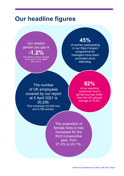## Our headline figures

## Our median gender pay gap is -1.2%

This means women's average hourly pay is 1.2% higher than men's.

## 45%

of women participating in our Step Forward programme for managers have been promoted since attending.

The number of UK employees covered by our report at 5 April 2021 is 30,206. This comprises 24,426 men and 5,780 women.

## 82%

of our reporting companies have a gender pay gap better than the UK national average of 15.4%.

The proportion of female hires in has increased for the third consecutive year, from 21.4% to 24.1%.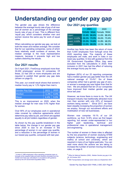## Understanding our gender pay gap

The gender pay gap shows the difference between the average hourly rate of pay of all men and all women as a percentage of the average hourly rate of pay of men. This is different from 'equal pay' which considers whether men and women receive the same pay for work of equal value.

When calculating our gender pay gap, we look at both the mean and median average. We consider that for our operating companies, some of which have relatively small numbers of women, the median average is the most representative measure, because it prevents high and low outliers distorting the results.

#### Our 2021 results

On 5 April 2021, FirstGroup employed more than 30,200 employees<sup>1</sup> across 32 companies. Of these, 22 had 250 or more employees and are required to publish their gender pay gap data (shown on page 8).

This year, our overall result shows that women's median hourly pay is 1.2% higher than men's.

| <b>Gender Pay Gap</b> | $2021$ 2020   |  |
|-----------------------|---------------|--|
| Median                | $-1.2\%$ 4.4% |  |
| Mean                  | $6.4\%$ 9.0%  |  |

This is an improvement on 2020, when the median average for men was 4.4% higher than for women.

Over 90% of our employees work in operational roles covered by collective agreements which determine pay rates by job, and which are applied equally to all job holders regardless of gender.

As shown by the pay quartile breakdown in the table below, the change in our gender pay gap since 2020 is due to an increase in the percentage of women in our upper pay quartile, and a reduction in the percentage of women in our lowest pay quartile, compared with last year.

#### Our 2021 pay quartiles

|                     | 2021 | 2020                    |  |  |
|---------------------|------|-------------------------|--|--|
|                     |      | Female Male Female Male |  |  |
| <b>Upper</b>        |      | 13.4% 86.6% 11.6% 88.4% |  |  |
| <b>Upper middle</b> |      | 26.1% 73.9% 26.6% 73.4% |  |  |
| Lower middle        |      | 25.2% 74.8% 31.8% 68.2% |  |  |
| Lower               |      | 12.0% 88.0% 13.5% 86.5% |  |  |

Another key factor has been the return of more than 5,000 employees from furlough since the 2020 reporting date. The majority of these employees are male, and work in roles in our lower pay quartiles. In line with guidance from the UK Government Equalities Office, they were excluded from the calculations in 2020; their inclusion in 2021 has had the effect of reducing the average hourly pay for men.

Eighteen (82%) of our 22 reporting companies had a median gender pay gap better than the UK national average of 15.4%<sup>2</sup>. Six of these companies either had a gender pay gap of zero, or women's average pay was higher than that for men. We are pleased that ten of our companies have improved their median gender pay gap since last year.

However, we know there is more to do. The UK transport industry has traditionally attracted more men than women with only 22% of transport workers being women <sup>3</sup>. Since 2017, we have been steadily increasing the proportion of women we employ, through our recruitment efforts and mobilisation of new rail businesses.

Women now comprise 19.1% of our UK workforce, up from 12.8% since we first began reporting, but remain under-represented in our higher paid leadership, technical and professional roles in operational management and engineering.

The number of women in these roles is affected by the low proportion of women studying STEM subjects (science, technology, engineering and maths) at school and university, which are required in many of our higher-paid jobs. You can read more about the actions we are taking to increase the number of women moving into these roles, on page 6.

<sup>&</sup>lt;sup>1</sup> A total of 1,689 employees in Bus operating companies were on furlough at the snapshot date and were therefore excluded from the median and mean pay calculations in accordance with guidance issued by the UK Government Equalities Office.

<sup>2</sup> Office for National Statistics (ONS) , Median Gender pay gap in the UK, 26 October 2021

<sup>3</sup>ONS Transportation and storage sector data as at September 2021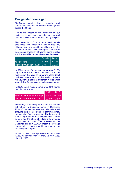#### Our gender bonus gap

FirstGroup operates bonus, incentive and commission schemes for different job categories across the Group.

Due to the impact of the pandemic on our business, commission payments, bonuses and other incentives were all reduced during the year.

The proportion of both male and female employees who received a bonus also fell, although women were still more likely to receive a bonus than their male colleagues. This is due to a greater proportion of women being in roles which are eligible for commission and bonuses.

|                            | Female   Male <sup>1</sup> |       |
|----------------------------|----------------------------|-------|
| % Receiving                | $ 2021 $ 52.0%             | 34.0% |
| Bonus by Gender 2020 77.1% |                            | 65.3% |

In 2020, women's median bonus was 81.2% higher than that for men. This was due to the mobilisation that year of our Avanti West Coast business, where 40% of the workforce were female, with a significant proportion in roles which were eligible for bonus or commission payments.

In 2021, men's median bonus was 8.3% higher than that for women.

|                                         | 2021                   | 2020 |
|-----------------------------------------|------------------------|------|
| Median Gender Bonus Gap   8.3%   -81.2% |                        |      |
| Mean Gender Bonus Gap                   | $\sqrt{-12.8\%}$ -2.5% |      |

The change was chiefly due to the fact that we did not pay a Christmas bonus in December 2020. Christmas bonuses are relatively small amounts, paid to large numbers of frontline staff, the majority of whom are men. The inclusion of such a large number of small payments, mostly to men, has the effect of reducing the average bonus paid to men. The absence of the Christmas bonus in 2020/21 meant the average bonus paid to men was higher than in the previous year's report.

Women's mean average bonus in 2021 was 12.5% higher than that for men, up from 2.5% higher in 2020.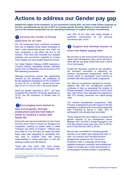## Actions to address our Gender pay gap

Despite the impact of the pandemic on our businesses during 2021, we have made further progress on the four commitments we set out in 2017 to increase gender diversity. Below is a brief selection of some of the actions being taken by our operating businesses in support of these commitments.

#### **1** Increase the number of female applicants for all roles

Our UK businesses have continued increasing their use of targeted social media campaigns to reach under-represented groups who might not have considered a role within the bus or rail industry. They have also reviewed and updated websites and recruitment materials to include more images and case studies featuring women.

Our Great Western Railway (GWR) business is currently trialling mandating diverse interview panels, prior to rolling them out across all our First Rail operating businesses.

Although recruitment activity was significantly reduced by the pandemic, the proportion of female applicants increased to 20.9% in 2020/21, up from 20.7% in 2019/20; female hires have risen to 24.1%, from 21.4% in the same period.

Since we started reporting in 2017, we have increased the proportion of female applicants by 10.3% and the proportion of female hires by 78.5%.

## ❷Encouraging more women to

#### stay and progress, through employment policies that make it easier to combine a career with family life

During the year we have extended our trial of part time bus driver roles to include our Glasgow bus companies, building on earlier pilots in West Yorkshire and West of England. Offering part time shifts of 15 to 25 hours per week has made these roles more appealing to candidates who may wish to combine work with caring responsibilities or further education, or who are seeking a better work-life balance.

These part time driver roles have proven particularly popular with women in Glasgow, with over 50% of our new hires being female, a significant improvement on our previous recruitment rate, of 2%.<sup>4</sup>

### **3** Support and develop women to move into higher paying roles

We are keen to see more women moving into our higher paid management roles, which will help to close gender pay gaps where they exist in some of our businesses.

Amidst the disruption caused by the pandemic, we remained committed to delivering our women's development programmes, which we moved online so employees could continue to maintain their learning and career progression.

Our 'Step Up' programme, designed for women seeking their first line management position, continues to help us accelerate the number of female managers. Since its launch in 2019, more than 180 women have attended the programme, with 27% already promoted into higher-paying roles.

Our second development programme, Step Forward, is designed to provide support to female managers in preparing for more senior leadership jobs. Following its launch in 2020, 45% of participants have already been promoted.

These programmes have helped us increase the gender diversity of our management teams. Between 2017 and 2021, female managers in our First Bus division have risen from 18% to 26.5%, and in First Rail from 29% to 33.8%.

We are also committed to increasing gender diversity in our higher paid engineering roles. In 2021 our First Bus and First Rail divisions pledged their support for the Tomorrow's Engineers Code, a campaign which brings together employers, education and professional bodies to increase the number and diversity of young people choosing careers in engineering.

<sup>4</sup> First Bus female application rate for all roles advertised externally (2018 to Oct 2021)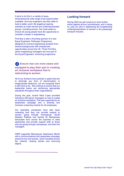It aims to do this in a variety of ways, showcasing the wide range of job opportunities available, and how engineers use their skills to build a better world. By targeting inspiring activities at under-served and underrepresented groups, including women, the Code seeks to ensure all young people have the opportunity to consider a career in engineering.

First Bus is also a founding sponsor of a new Equal Engineers' Pathways Programme, designed to connect engineering students from diverse backgrounds with employment opportunities across the UK. Three First Bus senior engineering managers are now part of the Equal Engineers' mentoring programme.

#### **4** Ensure men are more aware and equipped to play their part in creating an inclusive workplace that is welcoming to women.

All of our divisions have policies in place that aim to eliminate any form of discrimination or inappropriate behaviour, but we recognise there is still more to do. We continue to ensure that our leadership teams are reinforcing appropriate standards throughout their organisations.

During the year, Avanti West Coast provided training to 200 senior managers on how to create an inclusive workplace. This was supported by an awareness campaign and a diversity and inclusion e-learning module for all employees.

Our operating companies have also been reviewing how they can provide support to women going through menopause. South Western Railway has trained 20 Menopause Advocates from across the business to raise awareness and provide support both to those who are going through menopause, and their line managers.

GWR supported Menopause Awareness Month with a communications and awareness campaign aimed at men and women, which travelled across the network, sharing stories and removing stigma.

#### Looking forward

During 2022 we will continue to drive further action against all four commitments, and in doing so, play our part in addressing the longstanding underrepresentation of women in the passenger transport industry.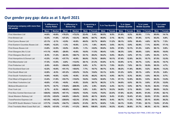## Our gender pay gap: data as at 5 April 2021

| <b>Employing company with more than</b><br>250 people |             | % difference in<br><b>Hourly Rates</b> |             | % difference in<br><b>Bonus Pay</b> |             | % receiving a<br><b>Bonus</b> |             | % in Top Quartile |             | % in Upper<br><b>Middle Quartile</b> |             | % in Lower<br><b>Middle Quartile</b> |             | % in Lower<br>Quartile |
|-------------------------------------------------------|-------------|----------------------------------------|-------------|-------------------------------------|-------------|-------------------------------|-------------|-------------------|-------------|--------------------------------------|-------------|--------------------------------------|-------------|------------------------|
|                                                       | <b>Mean</b> | <b>Median</b>                          | <b>Mean</b> | <b>Median</b>                       | <b>Male</b> | <b>Female</b>                 | <b>Male</b> | <b>Female</b>     | <b>Male</b> | <b>Female</b>                        | <b>Male</b> | <b>Female</b>                        | <b>Male</b> | <b>Female</b>          |
| <b>First Aberdeen Ltd</b>                             | $+4.0%$     | $+0.6%$                                | $+78.2%$    | $+72.2%$                            | 22.4%       | 5.4%                          | 90.5%       | 9.5%              | 91.8%       | 8.2%                                 | 92.9%       | 7.1%                                 | 85.9%       | 14.1%                  |
| <b>First Bristol Ltd</b>                              | $+2.3%$     | $+1.6%$                                | $+27.2%$    | $+33.3%$                            | 66.9%       | 64.7%                         | 96.9%       | 3.1%              | 90.1%       | 9.9%                                 | 91.9%       | 8.1%                                 | 93.2%       | 6.8%                   |
| <b>First Cymru Buses Ltd</b>                          | $-21.1%$    | $-2.1%$                                | $+2.9%$     | $+0.0%$                             | 49.0%       | 35.7%                         | 88.8%       | 11.2%             | 99.1%       | 0.9%                                 | 95.4%       | 4.6%                                 | 92.7%       | 7.3%                   |
| <b>First Eastern Counties Buses Ltd</b>               | $+5.6%$     | $+2.2%$                                | $-1.3%$     | $+0.0%$                             | 2.1%        | 1.6%                          | 96.4%       | 3.6%              | 94.1%       | 5.9%                                 | 92.9%       | 7.1%                                 | 82.9%       | 17.1%                  |
| <b>First Essex Buses Ltd</b>                          | $+3.0%$     | $+2.5%$                                | $+0.0%$     | $+0.0%$                             | 1.1%        | $+0.0%$                       | 95.0%       | 5.0%              | 87.9%       | 12.1%                                | 91.2%       | 8.8%                                 | 90.1%       | 9.9%                   |
| First Glasgow (No.1) Ltd                              | $+11.1%$    | $+9.8%$                                | $-29.0%$    | $+0.0%$                             | 16.0%       | 11.5%                         | 98.4%       | 1.6%              | 96.3%       | 3.8%                                 | 95.0%       | 5.0%                                 | 90.0%       | 10.0%                  |
| First Glasgow (No.2) Ltd                              | $-0.3%$     | $+1.2%$                                | $-64.5%$    | $+66.7%$                            | 33.1%       | 29.2%                         | 94.2%       | 5.8%              | 96.2%       | 3.8%                                 | 97.1%       | 2.9%                                 | 93.3%       | 6.7%                   |
| <b>First Hampshire &amp; Dorset Ltd</b>               | $+3.3%$     | $+1.0%$                                | $+37.7%$    | $+0.0%$                             | 56.8%       | 70.3%                         | 89.9%       | 10.1%             | 87.4%       | 12.6%                                | 84.3%       | 15.7%                                | 87.5%       | 12.5%                  |
| <b>First Manchester Ltd</b>                           | $+7.3%$     | $+3.5%$                                | $-6.8%$     | $+12.5%$                            | 38.1%       | 21.3%                         | 93.9%       | 6.1%              | 93.9%       | 6.1%                                 | 94.7%       | 5.3%                                 | 84.3%       | 15.7%                  |
| <b>First Potteries Ltd</b>                            | $-2.6%$     | $+0.0%$                                | $-184.0%$   | $-1200.0%$                          | 8.6%        | 6.7%                          | 92.1%       | 7.9%              | 92.2%       | 7.8%                                 | 89.1%       | 10.9%                                | 95.3%       | 4.7%                   |
| <b>First Scotland East Ltd</b>                        | $+2.2%$     | $+0.0%$                                | $+51.1%$    | $+30.0%$                            | 7.7%        | 16.7%                         | 90.7%       | 9.3%              | 88.2%       | 11.8%                                | 90.8%       | 9.2%                                 | 86.8%       | 13.2%                  |
| <b>First South West Ltd</b>                           | $+2.8%$     | $-0.3%$                                | $+91.2%$    | $+25.0%$                            | 15.2%       | 15.6%                         | 93.1%       | 6.9%              | 91.2%       | 8.8%                                 | 95.1%       | 4.9%                                 | 91.2%       | 8.8%                   |
| <b>First South Yorkshire Ltd</b>                      | $+4.9%$     | $+0.0%$                                | $+2.6%$     | $+0.0%$                             | 51.5%       | 48.2%                         | 95.1%       | 4.9%              | 90.7%       | 9.3%                                 | 95.5%       | 4.5%                                 | 90.3%       | 9.7%                   |
| <b>First West of England Ltd</b>                      | $+3.4%$     | $+1.9%$                                | $+53.7%$    | $+10.0%$                            | 16.6%       | 14.8%                         | 92.8%       | 7.2%              | 87.1%       | 12.9%                                | 90.5%       | 9.5%                                 | 86.2%       | 13.8%                  |
| <b>First West Yorkshire Ltd</b>                       | $+9.0%$     | $+7.0%$                                | $+9.0%$     | $+0.0%$                             | 33.6%       | 38.7%                         | 96.3%       | 3.7%              | 94.0%       | 6.0%                                 | 90.1%       | 9.9%                                 | 87.2%       | 12.8%                  |
| <b>Midland Bluebird Ltd</b>                           | $+9.7%$     | $+0.7%$                                | $+19.6%$    | $-209.9%$                           | 2.5%        | 2.9%                          | 95.6%       | 4.4%              | 94.1%       | 5.9%                                 | 89.7%       | 10.3%                                | 82.4%       | 17.6%                  |
| <b>First York Ltd</b>                                 | $-2.7%$     | $-0.3%$                                | +68.6%      | $+68.6%$                            | 0.8%        | 5.0%                          | 89.7%       | 10.3%             | 94.9%       | 5.1%                                 | 96.6%       | 3.4%                                 | 89.8%       | 10.2%                  |
| <b>First Bus Central Services Ltd</b>                 | $+29.6%$    | $+25.8%$                               | $+67.1%$    | $+38.8%$                            | 15.0%       | 13.0%                         | 76.5%       | 23.5%             | 57.8%       | 42.2%                                | 49.0%       | 51.0%                                | 37.9%       | 62.1%                  |
| <b>Great Western Railway Ltd</b>                      | $+21.5%$    | $+23.6%$                               | +44.9%      | $+26.4%$                            | 32.8%       | 48.1%                         | 90.6%       | 9.4%              | 81.6%       | 18.4%                                | 67.4%       | 32.6%                                | 57.5%       | 42.5%                  |
| <b>TransPennine Express Ltd</b>                       | $+21.5%$    | $+43.2%$                               | $-238.6%$   | $+22.3%$                            | 27.8%       | 29.1%                         | 90.6%       | 9.4%              | 88.7%       | 11.3%                                | 74.9%       | 25.1%                                | 63.8%       | 36.2%                  |
| <b>First MTR South Western Trains Ltd</b>             | $+17.7%$    | $+14.0%$                               | $+54.7%$    | $+36.0%$                            | 21.0%       | 29.7%                         | 92.6%       | 7.4%              | 84.1%       | 15.9%                                | 77.9%       | 22.1%                                | 72.6%       | 27.4%                  |
| <b>First Trenitalia West Coast Rail Ltd</b>           | $+24.2%$    | $+21.0%$                               | $+11.0%$    | $+11.2%$                            | 99.6%       | 100.0%                        | 83.8%       | 16.3%             | 63.4%       | 36.6%                                | 51.7%       | 48.3%                                | 43.1%       | 56.9%                  |